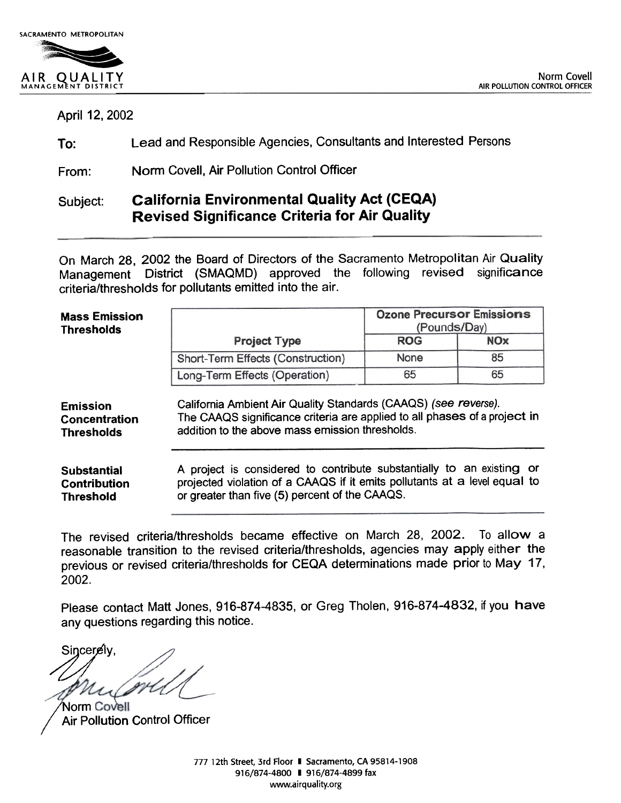

April 12, 2002

To: Lead and Responsible Agencies, Consultants and Interested Persons

From: Norm Covell, Air Pollution Control Officer

## California Environmental Quality Act (CEQA) Revised Significance Criteria for Air Quality Subject:

On March 28, 2002 the Board of Directors of the Sacramento Metropolitan Air Quality Management District (SMAQMD) approved the following revised significance criteria/thresholds for pollutants emitted into the air .

| <b>Mass Emission</b><br><b>Thresholds</b>                     |                                                                                                                                                                                                      | <b>Ozone Precursor Emissions</b><br>(Pounds/Day) |            |  |
|---------------------------------------------------------------|------------------------------------------------------------------------------------------------------------------------------------------------------------------------------------------------------|--------------------------------------------------|------------|--|
|                                                               | <b>Project Type</b>                                                                                                                                                                                  | <b>ROG</b>                                       | <b>NOx</b> |  |
|                                                               | Short-Term Effects (Construction)                                                                                                                                                                    | None                                             | 85         |  |
|                                                               | Long-Term Effects (Operation)                                                                                                                                                                        | 65                                               | 65         |  |
| <b>Emission</b><br>Concentration<br><b>Thresholds</b>         | California Ambient Air Quality Standards (CAAQS) (see reverse).<br>The CAAQS significance criteria are applied to all phases of a project in<br>addition to the above mass emission thresholds.      |                                                  |            |  |
| <b>Substantial</b><br><b>Contribution</b><br><b>Threshold</b> | A project is considered to contribute substantially to an existing or<br>projected violation of a CAAQS if it emits pollutants at a level equal to<br>or greater than five (5) percent of the CAAQS. |                                                  |            |  |

The revised criteria/thresholds became effective on March 28, 2002. To allow a reasonable transition to the revised criteria/thresholds, agencies may apply either the previous or revised criteria/thresholds for CEQA determinations made prior to May 17, 2002.

Please contact Matt Jones, 916-874-4835, or Greg Tholen, 916-874-4832, if you have any questions regarding this notice.

Sincerelv.  $\mathscr{U}_{m}$ 

Norm Covell<br>Air Pollution Control Officer